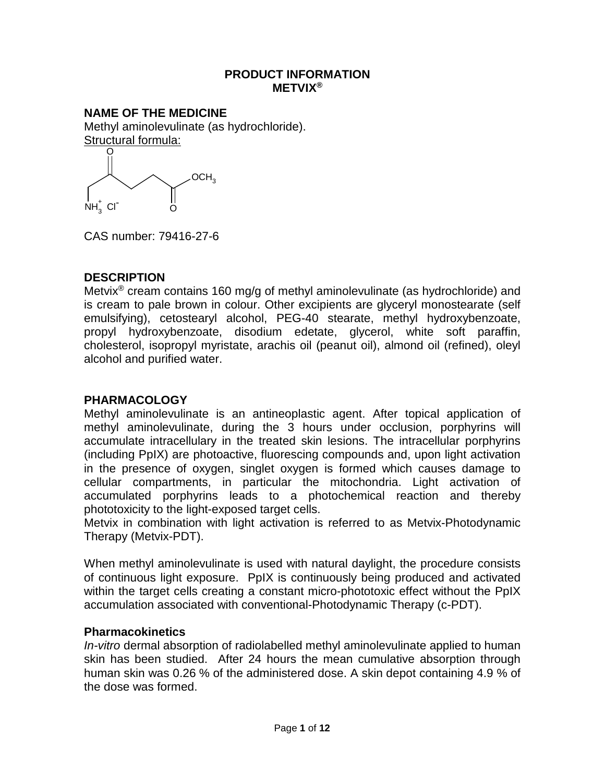#### **PRODUCT INFORMATION METVIX®**

**NAME OF THE MEDICINE** Methyl aminolevulinate (as hydrochloride). Structural formula: O



CAS number: 79416-27-6

# **DESCRIPTION**

Metvix® cream contains 160 mg/g of methyl aminolevulinate (as hydrochloride) and is cream to pale brown in colour. Other excipients are glyceryl monostearate (self emulsifying), cetostearyl alcohol, PEG-40 stearate, methyl hydroxybenzoate, propyl hydroxybenzoate, disodium edetate, glycerol, white soft paraffin, cholesterol, isopropyl myristate, arachis oil (peanut oil), almond oil (refined), oleyl alcohol and purified water.

## **PHARMACOLOGY**

Methyl aminolevulinate is an antineoplastic agent. After topical application of methyl aminolevulinate, during the 3 hours under occlusion, porphyrins will accumulate intracellulary in the treated skin lesions. The intracellular porphyrins (including PpIX) are photoactive, fluorescing compounds and, upon light activation in the presence of oxygen, singlet oxygen is formed which causes damage to cellular compartments, in particular the mitochondria. Light activation of accumulated porphyrins leads to a photochemical reaction and thereby phototoxicity to the light-exposed target cells.

Metvix in combination with light activation is referred to as Metvix-Photodynamic Therapy (Metvix-PDT).

When methyl aminolevulinate is used with natural daylight, the procedure consists of continuous light exposure. PpIX is continuously being produced and activated within the target cells creating a constant micro-phototoxic effect without the PpIX accumulation associated with conventional-Photodynamic Therapy (c-PDT).

## **Pharmacokinetics**

*In-vitro* dermal absorption of radiolabelled methyl aminolevulinate applied to human skin has been studied. After 24 hours the mean cumulative absorption through human skin was 0.26 % of the administered dose. A skin depot containing 4.9 % of the dose was formed.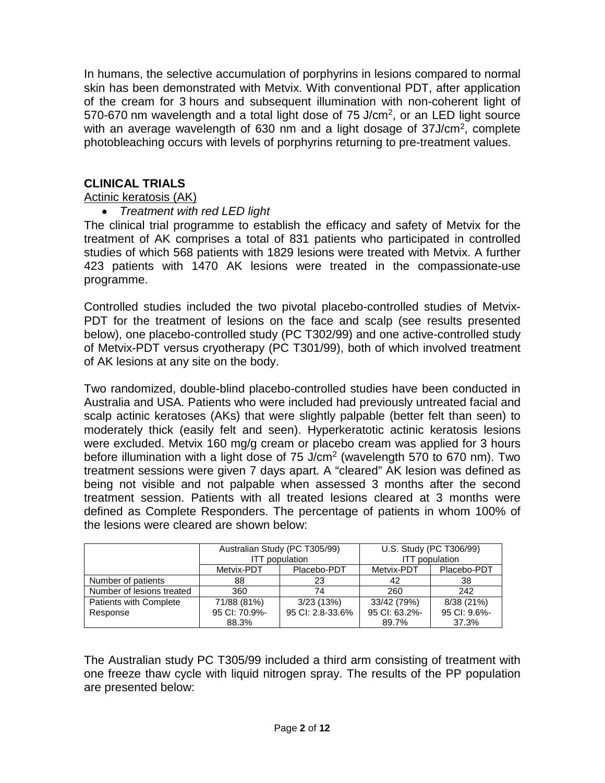In humans, the selective accumulation of porphyrins in lesions compared to normal skin has been demonstrated with Metvix. With conventional PDT, after application of the cream for 3 hours and subsequent illumination with non-coherent light of 570-670 nm wavelength and a total light dose of 75 J/cm<sup>2</sup>, or an LED light source with an average wavelength of 630 nm and a light dosage of 37J/cm<sup>2</sup>, complete photobleaching occurs with levels of porphyrins returning to pre-treatment values.

## **CLINICAL TRIALS**

#### Actinic keratosis (AK)

## • *Treatment with red LED light*

The clinical trial programme to establish the efficacy and safety of Metvix for the treatment of AK comprises a total of 831 patients who participated in controlled studies of which 568 patients with 1829 lesions were treated with Metvix. A further 423 patients with 1470 AK lesions were treated in the compassionate-use programme.

Controlled studies included the two pivotal placebo-controlled studies of Metvix-PDT for the treatment of lesions on the face and scalp (see results presented below), one placebo-controlled study (PC T302/99) and one active-controlled study of Metvix-PDT versus cryotherapy (PC T301/99), both of which involved treatment of AK lesions at any site on the body.

Two randomized, double-blind placebo-controlled studies have been conducted in Australia and USA. Patients who were included had previously untreated facial and scalp actinic keratoses (AKs) that were slightly palpable (better felt than seen) to moderately thick (easily felt and seen). Hyperkeratotic actinic keratosis lesions were excluded. Metvix 160 mg/g cream or placebo cream was applied for 3 hours before illumination with a light dose of 75 J/cm<sup>2</sup> (wavelength 570 to 670 nm). Two treatment sessions were given 7 days apart. A "cleared" AK lesion was defined as being not visible and not palpable when assessed 3 months after the second treatment session. Patients with all treated lesions cleared at 3 months were defined as Complete Responders. The percentage of patients in whom 100% of the lesions were cleared are shown below:

|                           |               | Australian Study (PC T305/99)<br><b>ITT</b> population |               | U.S. Study (PC T306/99)<br><b>ITT</b> population |
|---------------------------|---------------|--------------------------------------------------------|---------------|--------------------------------------------------|
|                           | Metvix-PDT    | Placebo-PDT                                            | Metvix-PDT    | Placebo-PDT                                      |
| Number of patients        | 88            | 23                                                     | 42            | 38                                               |
| Number of lesions treated | 360           | 74                                                     | 260           | 242                                              |
| Patients with Complete    | 71/88 (81%)   | 3/23(13%)                                              | 33/42 (79%)   | 8/38 (21%)                                       |
| Response                  | 95 CI: 70.9%- | 95 CI: 2.8-33.6%                                       | 95 CI: 63.2%- | 95 CI: 9.6%-                                     |
|                           | 88.3%         |                                                        | 89.7%         | 37.3%                                            |

The Australian study PC T305/99 included a third arm consisting of treatment with one freeze thaw cycle with liquid nitrogen spray. The results of the PP population are presented below: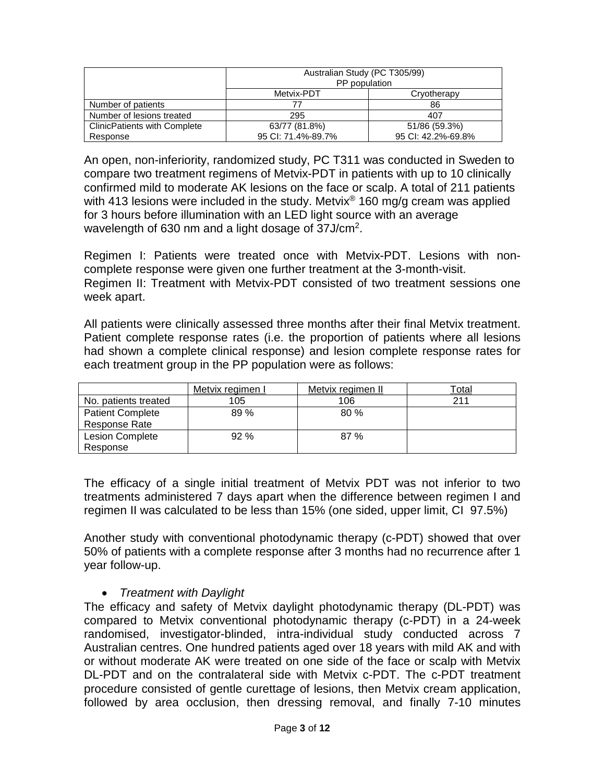|                                     | Australian Study (PC T305/99)<br>PP population |                    |
|-------------------------------------|------------------------------------------------|--------------------|
|                                     | Metvix-PDT                                     | Cryotherapy        |
| Number of patients                  | 77                                             | 86                 |
| Number of lesions treated           | 295                                            | 407                |
| <b>ClinicPatients with Complete</b> | 63/77 (81.8%)                                  | 51/86 (59.3%)      |
| Response                            | 95 CI: 71.4%-89.7%                             | 95 CI: 42.2%-69.8% |

An open, non-inferiority, randomized study, PC T311 was conducted in Sweden to compare two treatment regimens of Metvix-PDT in patients with up to 10 clinically confirmed mild to moderate AK lesions on the face or scalp. A total of 211 patients with 413 lesions were included in the study. Metvix<sup>®</sup> 160 mg/g cream was applied for 3 hours before illumination with an LED light source with an average wavelength of 630 nm and a light dosage of 37J/cm2.

Regimen I: Patients were treated once with Metvix-PDT. Lesions with noncomplete response were given one further treatment at the 3-month-visit. Regimen II: Treatment with Metvix-PDT consisted of two treatment sessions one week apart.

All patients were clinically assessed three months after their final Metvix treatment. Patient complete response rates (i.e. the proportion of patients where all lesions had shown a complete clinical response) and lesion complete response rates for each treatment group in the PP population were as follows:

|                         | Metvix regimen I | Metvix regimen II | ™otal |
|-------------------------|------------------|-------------------|-------|
| No. patients treated    | 105              | 106               | 211   |
| <b>Patient Complete</b> | 89 %             | 80%               |       |
| Response Rate           |                  |                   |       |
| <b>Lesion Complete</b>  | 92%              | 87%               |       |
| Response                |                  |                   |       |

The efficacy of a single initial treatment of Metvix PDT was not inferior to two treatments administered 7 days apart when the difference between regimen I and regimen II was calculated to be less than 15% (one sided, upper limit, CI 97.5%)

Another study with conventional photodynamic therapy (c-PDT) showed that over 50% of patients with a complete response after 3 months had no recurrence after 1 year follow-up.

# • *Treatment with Daylight*

The efficacy and safety of Metvix daylight photodynamic therapy (DL-PDT) was compared to Metvix conventional photodynamic therapy (c-PDT) in a 24-week randomised, investigator-blinded, intra-individual study conducted across 7 Australian centres. One hundred patients aged over 18 years with mild AK and with or without moderate AK were treated on one side of the face or scalp with Metvix DL-PDT and on the contralateral side with Metvix c-PDT. The c-PDT treatment procedure consisted of gentle curettage of lesions, then Metvix cream application, followed by area occlusion, then dressing removal, and finally 7-10 minutes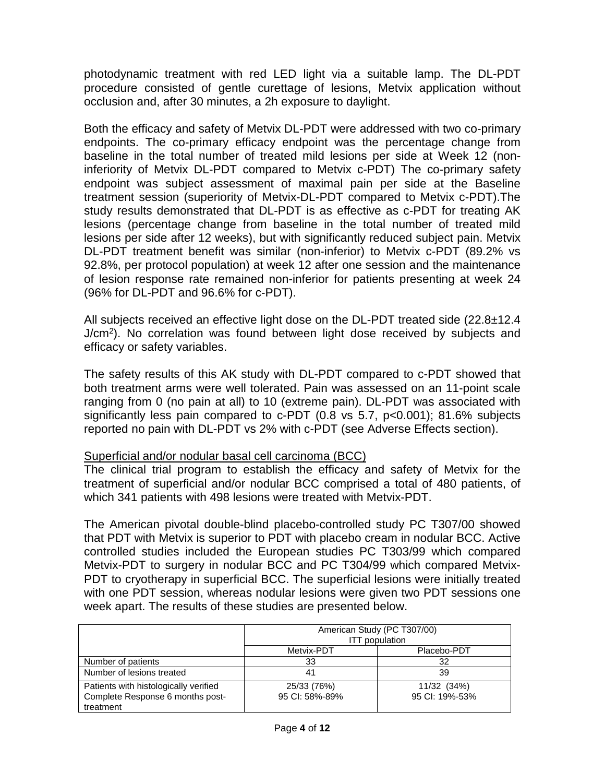photodynamic treatment with red LED light via a suitable lamp. The DL-PDT procedure consisted of gentle curettage of lesions, Metvix application without occlusion and, after 30 minutes, a 2h exposure to daylight.

Both the efficacy and safety of Metvix DL-PDT were addressed with two co-primary endpoints. The co-primary efficacy endpoint was the percentage change from baseline in the total number of treated mild lesions per side at Week 12 (noninferiority of Metvix DL-PDT compared to Metvix c-PDT) The co-primary safety endpoint was subject assessment of maximal pain per side at the Baseline treatment session (superiority of Metvix-DL-PDT compared to Metvix c-PDT).The study results demonstrated that DL-PDT is as effective as c-PDT for treating AK lesions (percentage change from baseline in the total number of treated mild lesions per side after 12 weeks), but with significantly reduced subject pain. Metvix DL-PDT treatment benefit was similar (non-inferior) to Metvix c-PDT (89.2% vs 92.8%, per protocol population) at week 12 after one session and the maintenance of lesion response rate remained non-inferior for patients presenting at week 24 (96% for DL-PDT and 96.6% for c-PDT).

All subjects received an effective light dose on the DL-PDT treated side (22.8±12.4 J/cm2). No correlation was found between light dose received by subjects and efficacy or safety variables.

The safety results of this AK study with DL-PDT compared to c-PDT showed that both treatment arms were well tolerated. Pain was assessed on an 11-point scale ranging from 0 (no pain at all) to 10 (extreme pain). DL-PDT was associated with significantly less pain compared to c-PDT (0.8 vs 5.7, p<0.001); 81.6% subjects reported no pain with DL-PDT vs 2% with c-PDT (see Adverse Effects section).

## Superficial and/or nodular basal cell carcinoma (BCC)

The clinical trial program to establish the efficacy and safety of Metvix for the treatment of superficial and/or nodular BCC comprised a total of 480 patients, of which 341 patients with 498 lesions were treated with Metvix-PDT.

The American pivotal double-blind placebo-controlled study PC T307/00 showed that PDT with Metvix is superior to PDT with placebo cream in nodular BCC. Active controlled studies included the European studies PC T303/99 which compared Metvix-PDT to surgery in nodular BCC and PC T304/99 which compared Metvix-PDT to cryotherapy in superficial BCC. The superficial lesions were initially treated with one PDT session, whereas nodular lesions were given two PDT sessions one week apart. The results of these studies are presented below.

|                                                                                        |                               | American Study (PC T307/00)<br><b>ITT</b> population |
|----------------------------------------------------------------------------------------|-------------------------------|------------------------------------------------------|
|                                                                                        | Metvix-PDT                    | Placebo-PDT                                          |
| Number of patients                                                                     | 33                            | 32                                                   |
| Number of lesions treated                                                              | 41                            | 39                                                   |
| Patients with histologically verified<br>Complete Response 6 months post-<br>treatment | 25/33 (76%)<br>95 CI: 58%-89% | 11/32 (34%)<br>95 CI: 19%-53%                        |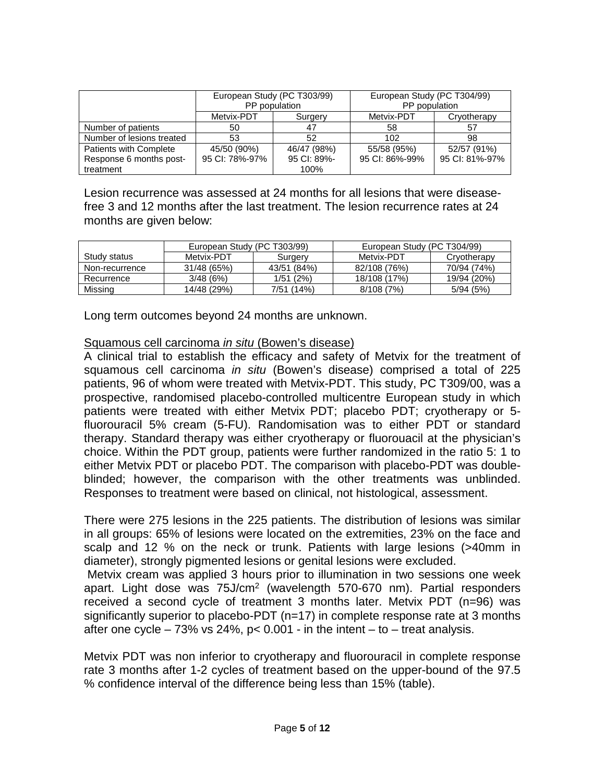|                           |                | European Study (PC T303/99)<br>PP population | European Study (PC T304/99)<br>PP population |                |
|---------------------------|----------------|----------------------------------------------|----------------------------------------------|----------------|
|                           | Metvix-PDT     | Surgery                                      | Metvix-PDT                                   | Cryotherapy    |
| Number of patients        | 50             | 47                                           | 58                                           | 57             |
| Number of lesions treated | 53             | 52                                           | 102                                          | 98             |
| Patients with Complete    | 45/50 (90%)    | 46/47 (98%)                                  | 55/58 (95%)                                  | 52/57 (91%)    |
| Response 6 months post-   | 95 CI: 78%-97% | 95 CI: 89%-                                  | 95 CI: 86%-99%                               | 95 CI: 81%-97% |
| treatment                 |                | 100%                                         |                                              |                |

Lesion recurrence was assessed at 24 months for all lesions that were diseasefree 3 and 12 months after the last treatment. The lesion recurrence rates at 24 months are given below:

|                | European Study (PC T303/99) |             | European Study (PC T304/99) |             |
|----------------|-----------------------------|-------------|-----------------------------|-------------|
| Study status   | Metvix-PDT                  | Surgery     | Metvix-PDT                  | Cryotherapy |
| Non-recurrence | 31/48 (65%)                 | 43/51 (84%) | 82/108 (76%)                | 70/94 (74%) |
| Recurrence     | 3/48(6%)                    | 1/51(2%)    | 18/108 (17%)                | 19/94 (20%) |
| Missina        | 14/48 (29%)                 | 7/51 (14%)  | 8/108(7%)                   | 5/94(5%)    |

Long term outcomes beyond 24 months are unknown.

## Squamous cell carcinoma *in situ* (Bowen's disease)

A clinical trial to establish the efficacy and safety of Metvix for the treatment of squamous cell carcinoma *in situ* (Bowen's disease) comprised a total of 225 patients, 96 of whom were treated with Metvix-PDT. This study, PC T309/00, was a prospective, randomised placebo-controlled multicentre European study in which patients were treated with either Metvix PDT; placebo PDT; cryotherapy or 5 fluorouracil 5% cream (5-FU). Randomisation was to either PDT or standard therapy. Standard therapy was either cryotherapy or fluorouacil at the physician's choice. Within the PDT group, patients were further randomized in the ratio 5: 1 to either Metvix PDT or placebo PDT. The comparison with placebo-PDT was doubleblinded; however, the comparison with the other treatments was unblinded. Responses to treatment were based on clinical, not histological, assessment.

There were 275 lesions in the 225 patients. The distribution of lesions was similar in all groups: 65% of lesions were located on the extremities, 23% on the face and scalp and 12 % on the neck or trunk. Patients with large lesions (>40mm in diameter), strongly pigmented lesions or genital lesions were excluded.

Metvix cream was applied 3 hours prior to illumination in two sessions one week apart. Light dose was 75J/cm<sup>2</sup> (wavelength 570-670 nm). Partial responders received a second cycle of treatment 3 months later. Metvix PDT (n=96) was significantly superior to placebo-PDT (n=17) in complete response rate at 3 months after one cycle – 73% vs 24%,  $p < 0.001$  - in the intent – to – treat analysis.

Metvix PDT was non inferior to cryotherapy and fluorouracil in complete response rate 3 months after 1-2 cycles of treatment based on the upper-bound of the 97.5 % confidence interval of the difference being less than 15% (table).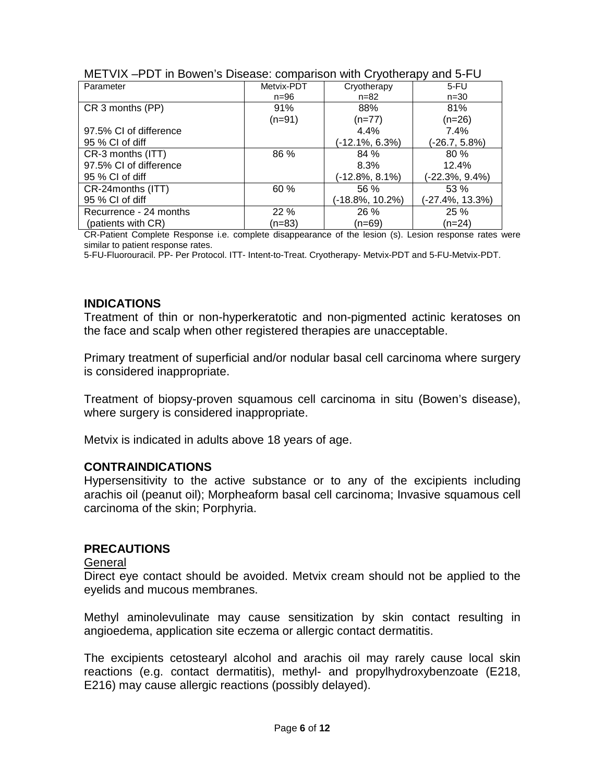| Parameter              | Metvix-PDT | Cryotherapy        | 5-FU            |
|------------------------|------------|--------------------|-----------------|
|                        | $n = 96$   | $n = 82$           | $n = 30$        |
| CR 3 months (PP)       | 91%        | 88%                | 81%             |
|                        | $(n=91)$   | (n=77)             | (n=26)          |
| 97.5% CI of difference |            | 4.4%               | 7.4%            |
| 95 % CI of diff        |            | $(-12.1\%, 6.3\%)$ | (-26.7, 5.8%)   |
| CR-3 months (ITT)      | 86 %       | 84 %               | 80 %            |
| 97.5% CI of difference |            | 8.3%               | 12.4%           |
| 95 % CI of diff        |            | (-12.8%, 8.1%)     | (-22.3%, 9.4%)  |
| CR-24 months (ITT)     | 60 %       | 56 %               | 53 %            |
| 95 % CI of diff        |            | (-18.8%, 10.2%)    | (-27.4%, 13.3%) |
| Recurrence - 24 months | 22%        | 26 %               | 25 %            |
| (patients with CR)     | (n=83)     | (n=69)             | (n=24)          |

|  | METVIX-PDT in Bowen's Disease: comparison with Cryotherapy and 5-FU |
|--|---------------------------------------------------------------------|
|--|---------------------------------------------------------------------|

CR-Patient Complete Response i.e. complete disappearance of the lesion (s). Lesion response rates were similar to patient response rates.

5-FU-Fluorouracil. PP- Per Protocol. ITT- Intent-to-Treat. Cryotherapy- Metvix-PDT and 5-FU-Metvix-PDT.

## **INDICATIONS**

Treatment of thin or non-hyperkeratotic and non-pigmented actinic keratoses on the face and scalp when other registered therapies are unacceptable.

Primary treatment of superficial and/or nodular basal cell carcinoma where surgery is considered inappropriate.

Treatment of biopsy-proven squamous cell carcinoma in situ (Bowen's disease), where surgery is considered inappropriate.

Metvix is indicated in adults above 18 years of age.

#### **CONTRAINDICATIONS**

Hypersensitivity to the active substance or to any of the excipients including arachis oil (peanut oil); Morpheaform basal cell carcinoma; Invasive squamous cell carcinoma of the skin; Porphyria.

#### **PRECAUTIONS**

#### General

Direct eye contact should be avoided. Metvix cream should not be applied to the eyelids and mucous membranes.

Methyl aminolevulinate may cause sensitization by skin contact resulting in angioedema, application site eczema or allergic contact dermatitis.

The excipients cetostearyl alcohol and arachis oil may rarely cause local skin reactions (e.g. contact dermatitis), methyl- and propylhydroxybenzoate (E218, E216) may cause allergic reactions (possibly delayed).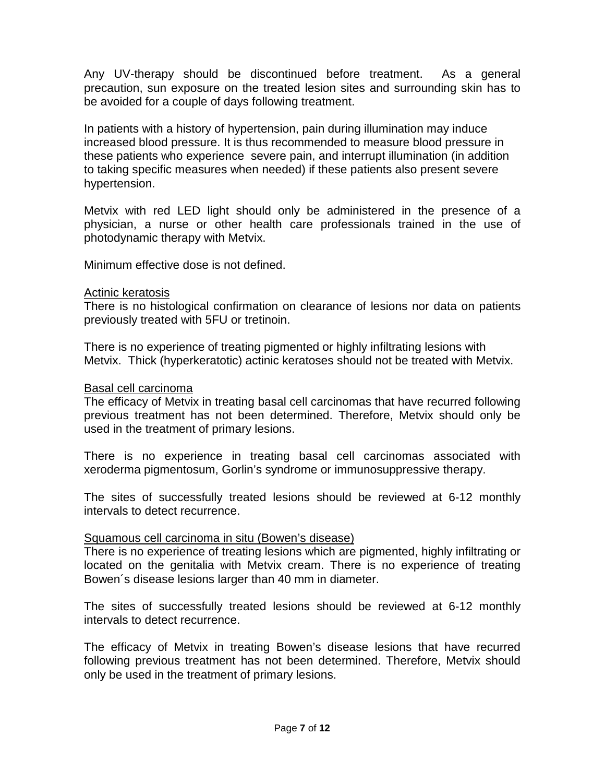Any UV-therapy should be discontinued before treatment. As a general precaution, sun exposure on the treated lesion sites and surrounding skin has to be avoided for a couple of days following treatment.

In patients with a history of hypertension, pain during illumination may induce increased blood pressure. It is thus recommended to measure blood pressure in these patients who experience severe pain, and interrupt illumination (in addition to taking specific measures when needed) if these patients also present severe hypertension.

Metvix with red LED light should only be administered in the presence of a physician, a nurse or other health care professionals trained in the use of photodynamic therapy with Metvix.

Minimum effective dose is not defined.

#### Actinic keratosis

There is no histological confirmation on clearance of lesions nor data on patients previously treated with 5FU or tretinoin.

There is no experience of treating pigmented or highly infiltrating lesions with Metvix. Thick (hyperkeratotic) actinic keratoses should not be treated with Metvix.

#### Basal cell carcinoma

The efficacy of Metvix in treating basal cell carcinomas that have recurred following previous treatment has not been determined. Therefore, Metvix should only be used in the treatment of primary lesions.

There is no experience in treating basal cell carcinomas associated with xeroderma pigmentosum, Gorlin's syndrome or immunosuppressive therapy.

The sites of successfully treated lesions should be reviewed at 6-12 monthly intervals to detect recurrence.

## Squamous cell carcinoma in situ (Bowen's disease)

There is no experience of treating lesions which are pigmented, highly infiltrating or located on the genitalia with Metvix cream. There is no experience of treating Bowen´s disease lesions larger than 40 mm in diameter.

The sites of successfully treated lesions should be reviewed at 6-12 monthly intervals to detect recurrence.

The efficacy of Metvix in treating Bowen's disease lesions that have recurred following previous treatment has not been determined. Therefore, Metvix should only be used in the treatment of primary lesions.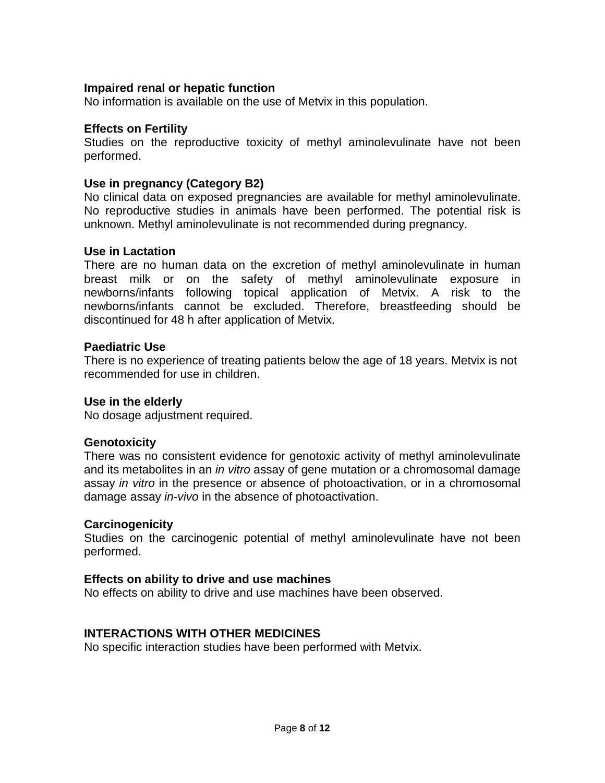## **Impaired renal or hepatic function**

No information is available on the use of Metvix in this population.

## **Effects on Fertility**

Studies on the reproductive toxicity of methyl aminolevulinate have not been performed.

## **Use in pregnancy (Category B2)**

No clinical data on exposed pregnancies are available for methyl aminolevulinate. No reproductive studies in animals have been performed. The potential risk is unknown. Methyl aminolevulinate is not recommended during pregnancy.

## **Use in Lactation**

There are no human data on the excretion of methyl aminolevulinate in human breast milk or on the safety of methyl aminolevulinate exposure in newborns/infants following topical application of Metvix. A risk to the newborns/infants cannot be excluded. Therefore, breastfeeding should be discontinued for 48 h after application of Metvix.

## **Paediatric Use**

There is no experience of treating patients below the age of 18 years. Metvix is not recommended for use in children.

## **Use in the elderly**

No dosage adjustment required.

## **Genotoxicity**

There was no consistent evidence for genotoxic activity of methyl aminolevulinate and its metabolites in an *in vitro* assay of gene mutation or a chromosomal damage assay *in vitro* in the presence or absence of photoactivation, or in a chromosomal damage assay *in-vivo* in the absence of photoactivation.

## **Carcinogenicity**

Studies on the carcinogenic potential of methyl aminolevulinate have not been performed.

## **Effects on ability to drive and use machines**

No effects on ability to drive and use machines have been observed.

# **INTERACTIONS WITH OTHER MEDICINES**

No specific interaction studies have been performed with Metvix.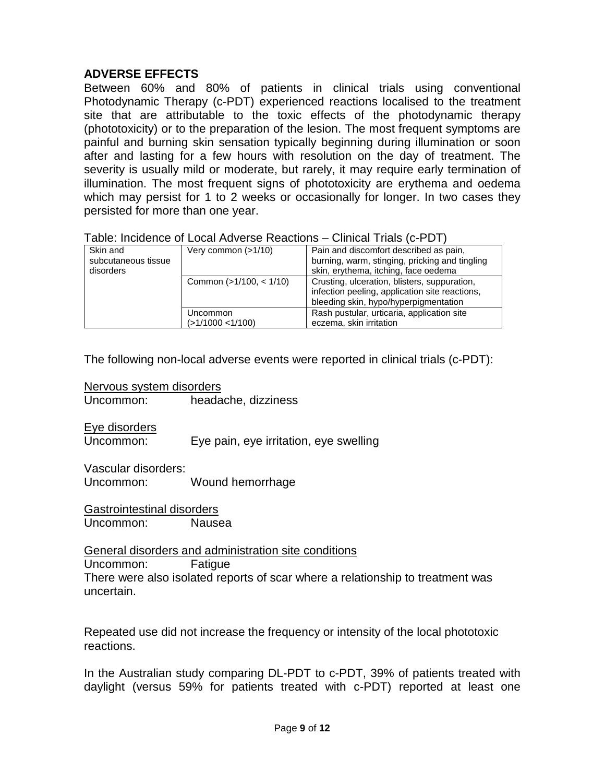# **ADVERSE EFFECTS**

Between 60% and 80% of patients in clinical trials using conventional Photodynamic Therapy (c-PDT) experienced reactions localised to the treatment site that are attributable to the toxic effects of the photodynamic therapy (phototoxicity) or to the preparation of the lesion. The most frequent symptoms are painful and burning skin sensation typically beginning during illumination or soon after and lasting for a few hours with resolution on the day of treatment. The severity is usually mild or moderate, but rarely, it may require early termination of illumination. The most frequent signs of phototoxicity are erythema and oedema which may persist for 1 to 2 weeks or occasionally for longer. In two cases they persisted for more than one year.

| Very common (>1/10)       | Pain and discomfort described as pain,         |
|---------------------------|------------------------------------------------|
|                           | burning, warm, stinging, pricking and tingling |
|                           | skin, erythema, itching, face oedema           |
| Common $(>1/100, < 1/10)$ | Crusting, ulceration, blisters, suppuration,   |
|                           | infection peeling, application site reactions, |
|                           | bleeding skin, hypo/hyperpigmentation          |
| Uncommon                  | Rash pustular, urticaria, application site     |
| (>1/1000 <1/100)          | eczema, skin irritation                        |
|                           |                                                |

| Table: Incidence of Local Adverse Reactions – Clinical Trials (c-PDT) |
|-----------------------------------------------------------------------|
|-----------------------------------------------------------------------|

The following non-local adverse events were reported in clinical trials (c-PDT):

Nervous system disorders<br>Uncommon: beada

headache, dizziness

Eye disorders

Uncommon: Eye pain, eye irritation, eye swelling

Vascular disorders:

Uncommon: Wound hemorrhage

Gastrointestinal disorders Uncommon: Nausea

General disorders and administration site conditions Uncommon: Fatigue There were also isolated reports of scar where a relationship to treatment was uncertain.

Repeated use did not increase the frequency or intensity of the local phototoxic reactions.

In the Australian study comparing DL-PDT to c-PDT, 39% of patients treated with daylight (versus 59% for patients treated with c-PDT) reported at least one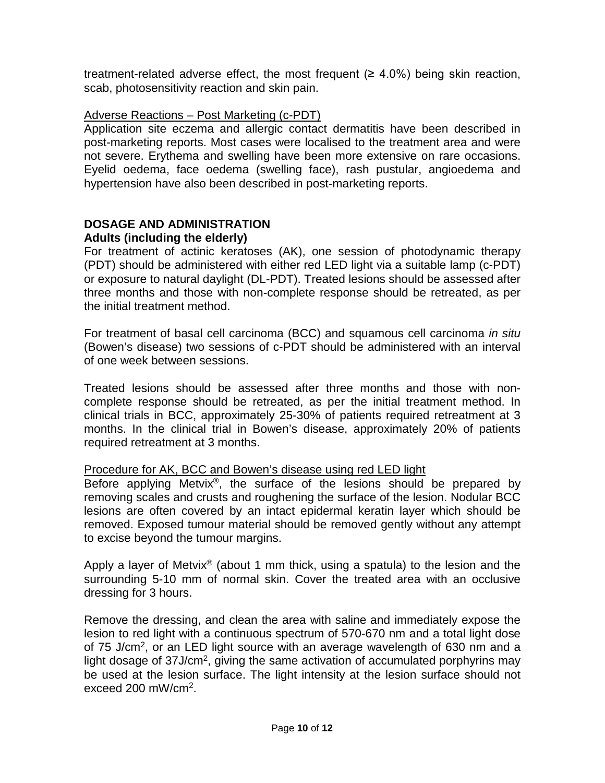treatment-related adverse effect, the most frequent (≥ 4.0%) being skin reaction, scab, photosensitivity reaction and skin pain.

## Adverse Reactions – Post Marketing (c-PDT)

Application site eczema and allergic contact dermatitis have been described in post-marketing reports. Most cases were localised to the treatment area and were not severe. Erythema and swelling have been more extensive on rare occasions. Eyelid oedema, face oedema (swelling face), rash pustular, angioedema and hypertension have also been described in post-marketing reports.

## **DOSAGE AND ADMINISTRATION Adults (including the elderly)**

For treatment of actinic keratoses (AK), one session of photodynamic therapy (PDT) should be administered with either red LED light via a suitable lamp (c-PDT) or exposure to natural daylight (DL-PDT). Treated lesions should be assessed after three months and those with non-complete response should be retreated, as per the initial treatment method.

For treatment of basal cell carcinoma (BCC) and squamous cell carcinoma *in situ* (Bowen's disease) two sessions of c-PDT should be administered with an interval of one week between sessions.

Treated lesions should be assessed after three months and those with noncomplete response should be retreated, as per the initial treatment method. In clinical trials in BCC, approximately 25-30% of patients required retreatment at 3 months. In the clinical trial in Bowen's disease, approximately 20% of patients required retreatment at 3 months.

## Procedure for AK, BCC and Bowen's disease using red LED light

Before applying Metvix®, the surface of the lesions should be prepared by removing scales and crusts and roughening the surface of the lesion. Nodular BCC lesions are often covered by an intact epidermal keratin layer which should be removed. Exposed tumour material should be removed gently without any attempt to excise beyond the tumour margins.

Apply a layer of Metvix<sup>®</sup> (about 1 mm thick, using a spatula) to the lesion and the surrounding 5-10 mm of normal skin. Cover the treated area with an occlusive dressing for 3 hours.

Remove the dressing, and clean the area with saline and immediately expose the lesion to red light with a continuous spectrum of 570-670 nm and a total light dose of 75 J/cm2, or an LED light source with an average wavelength of 630 nm and a light dosage of 37J/cm<sup>2</sup>, giving the same activation of accumulated porphyrins may be used at the lesion surface. The light intensity at the lesion surface should not exceed 200 mW/cm2.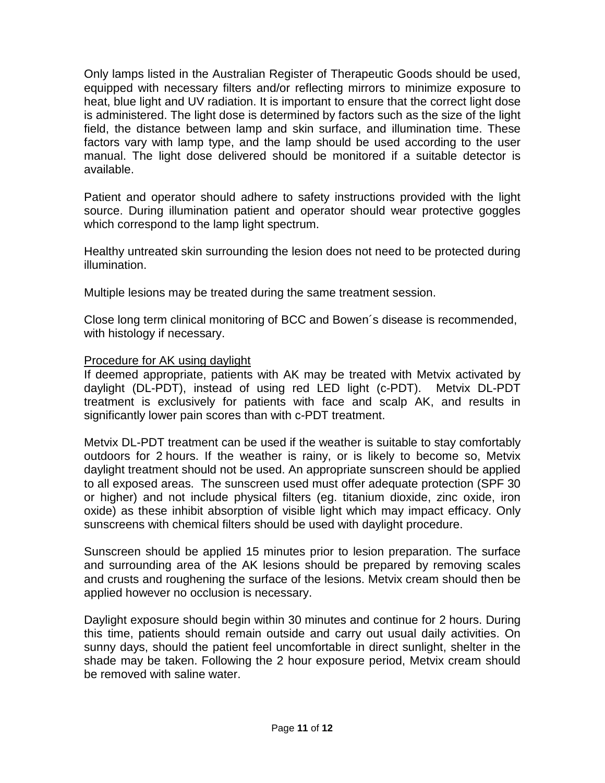Only lamps listed in the Australian Register of Therapeutic Goods should be used, equipped with necessary filters and/or reflecting mirrors to minimize exposure to heat, blue light and UV radiation. It is important to ensure that the correct light dose is administered. The light dose is determined by factors such as the size of the light field, the distance between lamp and skin surface, and illumination time. These factors vary with lamp type, and the lamp should be used according to the user manual. The light dose delivered should be monitored if a suitable detector is available.

Patient and operator should adhere to safety instructions provided with the light source. During illumination patient and operator should wear protective goggles which correspond to the lamp light spectrum.

Healthy untreated skin surrounding the lesion does not need to be protected during illumination.

Multiple lesions may be treated during the same treatment session.

Close long term clinical monitoring of BCC and Bowen´s disease is recommended, with histology if necessary.

## Procedure for AK using daylight

If deemed appropriate, patients with AK may be treated with Metvix activated by daylight (DL-PDT), instead of using red LED light (c-PDT). Metvix DL-PDT treatment is exclusively for patients with face and scalp AK, and results in significantly lower pain scores than with c-PDT treatment.

Metvix DL-PDT treatment can be used if the weather is suitable to stay comfortably outdoors for 2 hours. If the weather is rainy, or is likely to become so, Metvix daylight treatment should not be used. An appropriate sunscreen should be applied to all exposed areas. The sunscreen used must offer adequate protection (SPF 30 or higher) and not include physical filters (eg. titanium dioxide, zinc oxide, iron oxide) as these inhibit absorption of visible light which may impact efficacy. Only sunscreens with chemical filters should be used with daylight procedure.

Sunscreen should be applied 15 minutes prior to lesion preparation. The surface and surrounding area of the AK lesions should be prepared by removing scales and crusts and roughening the surface of the lesions. Metvix cream should then be applied however no occlusion is necessary.

Daylight exposure should begin within 30 minutes and continue for 2 hours. During this time, patients should remain outside and carry out usual daily activities. On sunny days, should the patient feel uncomfortable in direct sunlight, shelter in the shade may be taken. Following the 2 hour exposure period, Metvix cream should be removed with saline water.